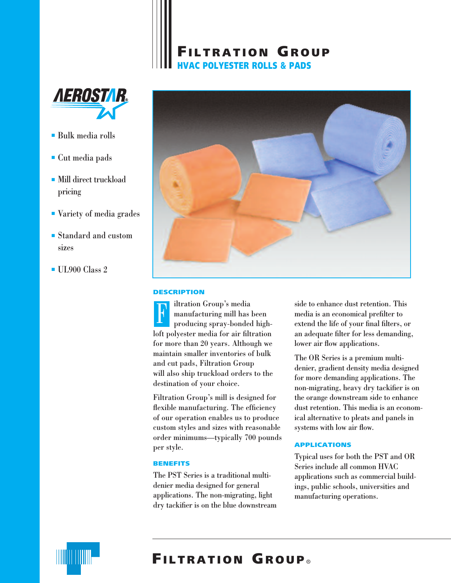# **FILTRATION GROUP HVAC POLYESTER ROLLS & PADS**



- Bulk media rolls
- Cut media pads
- Mill direct truckload pricing
- Variety of media grades
- Standard and custom sizes
- UL900 Class 2



## **DESCRIPTION**

iltration Group's media manufacturing mill has been producing spray-bonded highloft polyester media for air filtration for more than 20 years. Although we maintain smaller inventories of bulk and cut pads, Filtration Group will also ship truckload orders to the destination of your choice.  $\mathbf{k}$ 

Filtration Group's mill is designed for flexible manufacturing. The efficiency of our operation enables us to produce custom styles and sizes with reasonable order minimums—typically 700 pounds per style.

## **BENEFITS**

The PST Series is a traditional multidenier media designed for general applications. The non-migrating, light dry tackifier is on the blue downstream side to enhance dust retention. This media is an economical prefilter to extend the life of your final filters, or an adequate filter for less demanding, lower air flow applications.

The OR Series is a premium multidenier, gradient density media designed for more demanding applications. The non-migrating, heavy dry tackifier is on the orange downstream side to enhance dust retention. This media is an economical alternative to pleats and panels in systems with low air flow.

## **APPLICATIONS**

Typical uses for both the PST and OR Series include all common HVAC applications such as commercial buildings, public schools, universities and manufacturing operations.



# **FILTRATION GROUP** ®